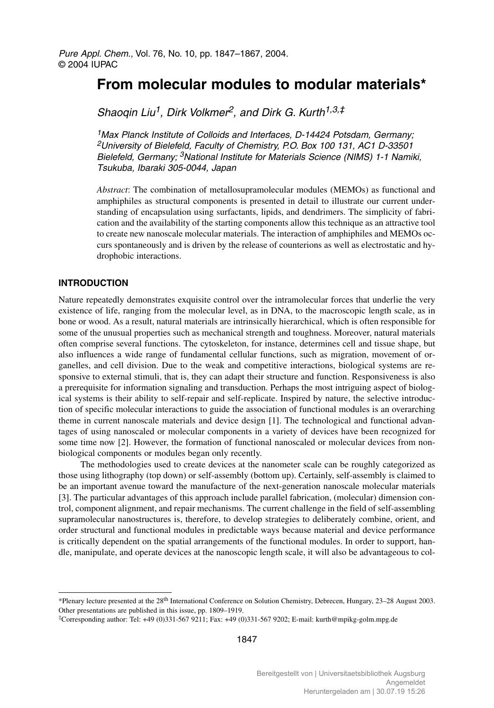# **From molecular modules to modular materials\***

Shaoqin Liu<sup>1</sup>, Dirk Volkmer<sup>2</sup>, and Dirk G. Kurth<sup>1,3,‡</sup>

<sup>1</sup> Max Planck Institute of Colloids and Interfaces, D-14424 Potsdam, Germany; 2University of Bielefeld, Faculty of Chemistry, P.O. Box 100 131, AC1 D-33501 Bielefeld, Germany; <sup>3</sup>National Institute for Materials Science (NIMS) 1-1 Namiki, Tsukuba, Ibaraki 305-0044, Japan

*Abstract*: The combination of metallosupramolecular modules (MEMOs) as functional and amphiphiles as structural components is presented in detail to illustrate our current understanding of encapsulation using surfactants, lipids, and dendrimers. The simplicity of fabrication and the availability of the starting components allow this technique as an attractive tool to create new nanoscale molecular materials. The interaction of amphiphiles and MEMOs occurs spontaneously and is driven by the release of counterions as well as electrostatic and hydrophobic interactions.

# **INTRODUCTION**

Nature repeatedly demonstrates exquisite control over the intramolecular forces that underlie the very existence of life, ranging from the molecular level, as in DNA, to the macroscopic length scale, as in bone or wood. As a result, natural materials are intrinsically hierarchical, which is often responsible for some of the unusual properties such as mechanical strength and toughness. Moreover, natural materials often comprise several functions. The cytoskeleton, for instance, determines cell and tissue shape, but also influences a wide range of fundamental cellular functions, such as migration, movement of organelles, and cell division. Due to the weak and competitive interactions, biological systems are responsive to external stimuli, that is, they can adapt their structure and function. Responsiveness is also a prerequisite for information signaling and transduction. Perhaps the most intriguing aspect of biological systems is their ability to self-repair and self-replicate. Inspired by nature, the selective introduction of specific molecular interactions to guide the association of functional modules is an overarching theme in current nanoscale materials and device design [1]. The technological and functional advantages of using nanoscaled or molecular components in a variety of devices have been recognized for some time now [2]. However, the formation of functional nanoscaled or molecular devices from nonbiological components or modules began only recently.

The methodologies used to create devices at the nanometer scale can be roughly categorized as those using lithography (top down) or self-assembly (bottom up). Certainly, self-assembly is claimed to be an important avenue toward the manufacture of the next-generation nanoscale molecular materials [3]. The particular advantages of this approach include parallel fabrication, (molecular) dimension control, component alignment, and repair mechanisms. The current challenge in the field of self-assembling supramolecular nanostructures is, therefore, to develop strategies to deliberately combine, orient, and order structural and functional modules in predictable ways because material and device performance is critically dependent on the spatial arrangements of the functional modules. In order to support, handle, manipulate, and operate devices at the nanoscopic length scale, it will also be advantageous to col-

<sup>\*</sup>Plenary lecture presented at the 28th International Conference on Solution Chemistry, Debrecen, Hungary, 23–28 August 2003. Other presentations are published in this issue, pp. 1809–1919.

<sup>‡</sup>Corresponding author: Tel: +49 (0)331-567 9211; Fax: +49 (0)331-567 9202; E-mail: kurth@mpikg-golm.mpg.de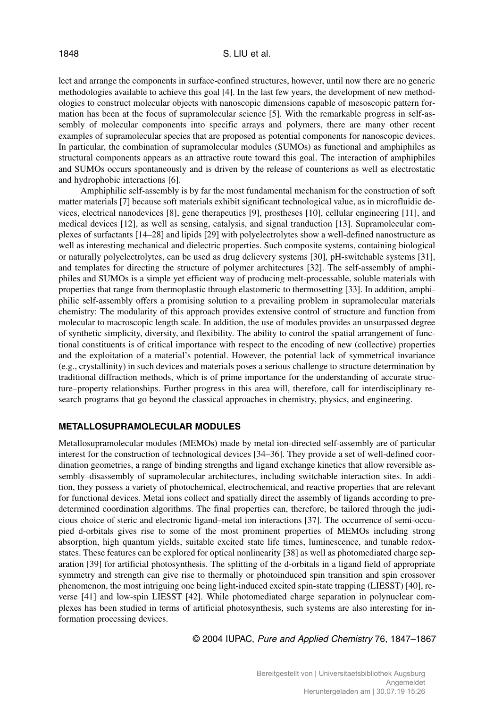lect and arrange the components in surface-confined structures, however, until now there are no generic methodologies available to achieve this goal [4]. In the last few years, the development of new methodologies to construct molecular objects with nanoscopic dimensions capable of mesoscopic pattern formation has been at the focus of supramolecular science [5]. With the remarkable progress in self-assembly of molecular components into specific arrays and polymers, there are many other recent examples of supramolecular species that are proposed as potential components for nanoscopic devices. In particular, the combination of supramolecular modules (SUMOs) as functional and amphiphiles as structural components appears as an attractive route toward this goal. The interaction of amphiphiles and SUMOs occurs spontaneously and is driven by the release of counterions as well as electrostatic and hydrophobic interactions [6].

Amphiphilic self-assembly is by far the most fundamental mechanism for the construction of soft matter materials [7] because soft materials exhibit significant technological value, as in microfluidic devices, electrical nanodevices [8], gene therapeutics [9], prostheses [10], cellular engineering [11], and medical devices [12], as well as sensing, catalysis, and signal tranduction [13]. Supramolecular complexes of surfactants [14–28] and lipids [29] with polyelectrolytes show a well-defined nanostructure as well as interesting mechanical and dielectric properties. Such composite systems, containing biological or naturally polyelectrolytes, can be used as drug delievery systems [30], pH-switchable systems [31], and templates for directing the structure of polymer architectures [32]. The self-assembly of amphiphiles and SUMOs is a simple yet efficient way of producing melt-processable, soluble materials with properties that range from thermoplastic through elastomeric to thermosetting [33]. In addition, amphiphilic self-assembly offers a promising solution to a prevailing problem in supramolecular materials chemistry: The modularity of this approach provides extensive control of structure and function from molecular to macroscopic length scale. In addition, the use of modules provides an unsurpassed degree of synthetic simplicity, diversity, and flexibility. The ability to control the spatial arrangement of functional constituents is of critical importance with respect to the encoding of new (collective) properties and the exploitation of a material's potential. However, the potential lack of symmetrical invariance (e.g., crystallinity) in such devices and materials poses a serious challenge to structure determination by traditional diffraction methods, which is of prime importance for the understanding of accurate structure–property relationships. Further progress in this area will, therefore, call for interdisciplinary research programs that go beyond the classical approaches in chemistry, physics, and engineering.

# **METALLOSUPRAMOLECULAR MODULES**

Metallosupramolecular modules (MEMOs) made by metal ion-directed self-assembly are of particular interest for the construction of technological devices [34–36]. They provide a set of well-defined coordination geometries, a range of binding strengths and ligand exchange kinetics that allow reversible assembly–disassembly of supramolecular architectures, including switchable interaction sites. In addition, they possess a variety of photochemical, electrochemical, and reactive properties that are relevant for functional devices. Metal ions collect and spatially direct the assembly of ligands according to predetermined coordination algorithms. The final properties can, therefore, be tailored through the judicious choice of steric and electronic ligand–metal ion interactions [37]. The occurrence of semi-occupied d-orbitals gives rise to some of the most prominent properties of MEMOs including strong absorption, high quantum yields, suitable excited state life times, luminescence, and tunable redoxstates. These features can be explored for optical nonlinearity [38] as well as photomediated charge separation [39] for artificial photosynthesis. The splitting of the d-orbitals in a ligand field of appropriate symmetry and strength can give rise to thermally or photoinduced spin transition and spin crossover phenomenon, the most intriguing one being light-induced excited spin-state trapping (LIESST) [40], reverse [41] and low-spin LIESST [42]. While photomediated charge separation in polynuclear complexes has been studied in terms of artificial photosynthesis, such systems are also interesting for information processing devices.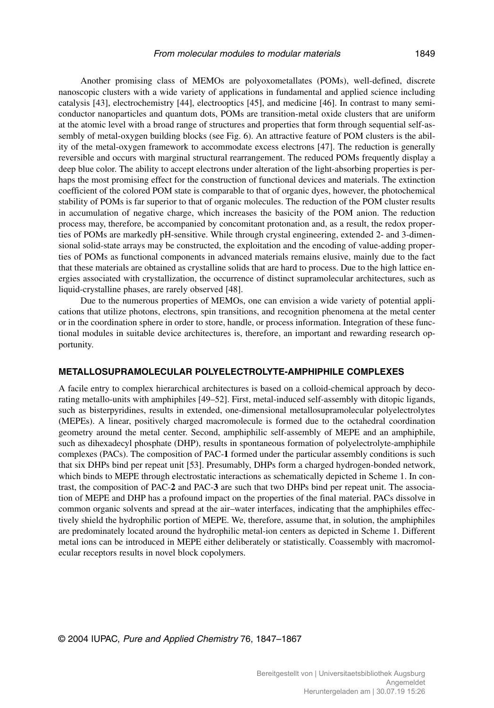Another promising class of MEMOs are polyoxometallates (POMs), well-defined, discrete nanoscopic clusters with a wide variety of applications in fundamental and applied science including catalysis [43], electrochemistry [44], electrooptics [45], and medicine [46]. In contrast to many semiconductor nanoparticles and quantum dots, POMs are transition-metal oxide clusters that are uniform at the atomic level with a broad range of structures and properties that form through sequential self-assembly of metal-oxygen building blocks (see Fig. 6). An attractive feature of POM clusters is the ability of the metal-oxygen framework to accommodate excess electrons [47]. The reduction is generally reversible and occurs with marginal structural rearrangement. The reduced POMs frequently display a deep blue color. The ability to accept electrons under alteration of the light-absorbing properties is perhaps the most promising effect for the construction of functional devices and materials. The extinction coefficient of the colored POM state is comparable to that of organic dyes, however, the photochemical stability of POMs is far superior to that of organic molecules. The reduction of the POM cluster results in accumulation of negative charge, which increases the basicity of the POM anion. The reduction process may, therefore, be accompanied by concomitant protonation and, as a result, the redox properties of POMs are markedly pH-sensitive. While through crystal engineering, extended 2- and 3-dimensional solid-state arrays may be constructed, the exploitation and the encoding of value-adding properties of POMs as functional components in advanced materials remains elusive, mainly due to the fact that these materials are obtained as crystalline solids that are hard to process. Due to the high lattice energies associated with crystallization, the occurrence of distinct supramolecular architectures, such as liquid-crystalline phases, are rarely observed [48].

Due to the numerous properties of MEMOs, one can envision a wide variety of potential applications that utilize photons, electrons, spin transitions, and recognition phenomena at the metal center or in the coordination sphere in order to store, handle, or process information. Integration of these functional modules in suitable device architectures is, therefore, an important and rewarding research opportunity.

# **METALLOSUPRAMOLECULAR POLYELECTROLYTE-AMPHIPHILE COMPLEXES**

A facile entry to complex hierarchical architectures is based on a colloid-chemical approach by decorating metallo-units with amphiphiles [49–52]. First, metal-induced self-assembly with ditopic ligands, such as bisterpyridines, results in extended, one-dimensional metallosupramolecular polyelectrolytes (MEPEs). A linear, positively charged macromolecule is formed due to the octahedral coordination geometry around the metal center. Second, amphiphilic self-assembly of MEPE and an amphiphile, such as dihexadecyl phosphate (DHP), results in spontaneous formation of polyelectrolyte-amphiphile complexes (PACs). The composition of PAC-**1** formed under the particular assembly conditions is such that six DHPs bind per repeat unit [53]. Presumably, DHPs form a charged hydrogen-bonded network, which binds to MEPE through electrostatic interactions as schematically depicted in Scheme 1. In contrast, the composition of PAC-**2** and PAC-**3** are such that two DHPs bind per repeat unit. The association of MEPE and DHP has a profound impact on the properties of the final material. PACs dissolve in common organic solvents and spread at the air–water interfaces, indicating that the amphiphiles effectively shield the hydrophilic portion of MEPE. We, therefore, assume that, in solution, the amphiphiles are predominately located around the hydrophilic metal-ion centers as depicted in Scheme 1. Different metal ions can be introduced in MEPE either deliberately or statistically. Coassembly with macromolecular receptors results in novel block copolymers.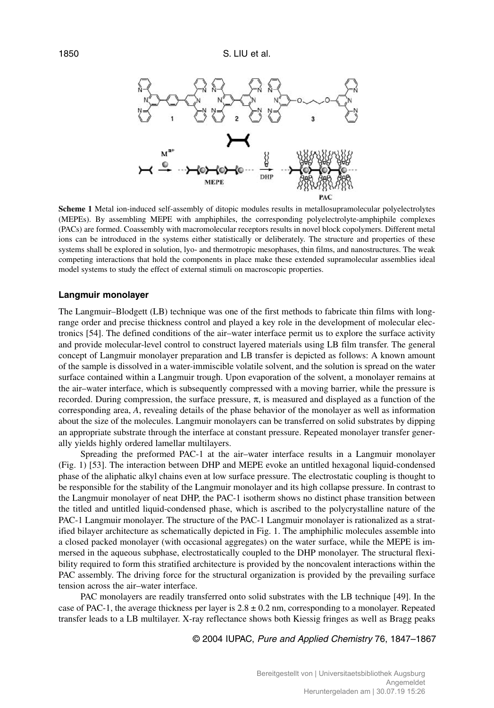

**Scheme 1** Metal ion-induced self-assembly of ditopic modules results in metallosupramolecular polyelectrolytes (MEPEs). By assembling MEPE with amphiphiles, the corresponding polyelectrolyte-amphiphile complexes (PACs) are formed. Coassembly with macromolecular receptors results in novel block copolymers. Different metal ions can be introduced in the systems either statistically or deliberately. The structure and properties of these systems shall be explored in solution, lyo- and thermotropic mesophases, thin films, and nanostructures. The weak competing interactions that hold the components in place make these extended supramolecular assemblies ideal model systems to study the effect of external stimuli on macroscopic properties.

## **Langmuir monolayer**

The Langmuir–Blodgett (LB) technique was one of the first methods to fabricate thin films with longrange order and precise thickness control and played a key role in the development of molecular electronics [54]. The defined conditions of the air–water interface permit us to explore the surface activity and provide molecular-level control to construct layered materials using LB film transfer. The general concept of Langmuir monolayer preparation and LB transfer is depicted as follows: A known amount of the sample is dissolved in a water-immiscible volatile solvent, and the solution is spread on the water surface contained within a Langmuir trough. Upon evaporation of the solvent, a monolayer remains at the air–water interface, which is subsequently compressed with a moving barrier, while the pressure is recorded. During compression, the surface pressure,  $\pi$ , is measured and displayed as a function of the corresponding area, *A*, revealing details of the phase behavior of the monolayer as well as information about the size of the molecules. Langmuir monolayers can be transferred on solid substrates by dipping an appropriate substrate through the interface at constant pressure. Repeated monolayer transfer generally yields highly ordered lamellar multilayers.

Spreading the preformed PAC-1 at the air–water interface results in a Langmuir monolayer (Fig. 1) [53]. The interaction between DHP and MEPE evoke an untitled hexagonal liquid-condensed phase of the aliphatic alkyl chains even at low surface pressure. The electrostatic coupling is thought to be responsible for the stability of the Langmuir monolayer and its high collapse pressure. In contrast to the Langmuir monolayer of neat DHP, the PAC-1 isotherm shows no distinct phase transition between the titled and untitled liquid-condensed phase, which is ascribed to the polycrystalline nature of the PAC-1 Langmuir monolayer. The structure of the PAC-1 Langmuir monolayer is rationalized as a stratified bilayer architecture as schematically depicted in Fig. 1. The amphiphilic molecules assemble into a closed packed monolayer (with occasional aggregates) on the water surface, while the MEPE is immersed in the aqueous subphase, electrostatically coupled to the DHP monolayer. The structural flexibility required to form this stratified architecture is provided by the noncovalent interactions within the PAC assembly. The driving force for the structural organization is provided by the prevailing surface tension across the air–water interface.

PAC monolayers are readily transferred onto solid substrates with the LB technique [49]. In the case of PAC-1, the average thickness per layer is  $2.8 \pm 0.2$  nm, corresponding to a monolayer. Repeated transfer leads to a LB multilayer. X-ray reflectance shows both Kiessig fringes as well as Bragg peaks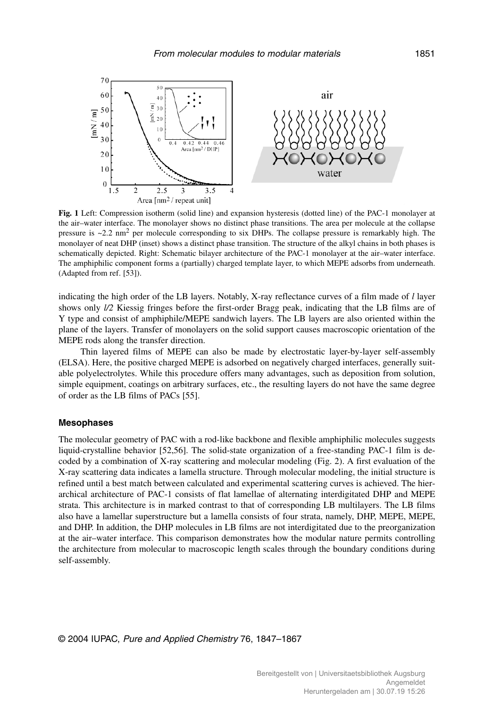

**Fig. 1** Left: Compression isotherm (solid line) and expansion hysteresis (dotted line) of the PAC-1 monolayer at the air–water interface. The monolayer shows no distinct phase transitions. The area per molecule at the collapse pressure is  $\sim$ 2.2 nm<sup>2</sup> per molecule corresponding to six DHPs. The collapse pressure is remarkably high. The monolayer of neat DHP (inset) shows a distinct phase transition. The structure of the alkyl chains in both phases is schematically depicted. Right: Schematic bilayer architecture of the PAC-1 monolayer at the air–water interface. The amphiphilic component forms a (partially) charged template layer, to which MEPE adsorbs from underneath. (Adapted from ref. [53]).

indicating the high order of the LB layers. Notably, X-ray reflectance curves of a film made of *l* layer shows only  $1/2$  Kiessig fringes before the first-order Bragg peak, indicating that the LB films are of Y type and consist of amphiphile/MEPE sandwich layers. The LB layers are also oriented within the plane of the layers. Transfer of monolayers on the solid support causes macroscopic orientation of the MEPE rods along the transfer direction.

Thin layered films of MEPE can also be made by electrostatic layer-by-layer self-assembly (ELSA). Here, the positive charged MEPE is adsorbed on negatively charged interfaces, generally suitable polyelectrolytes. While this procedure offers many advantages, such as deposition from solution, simple equipment, coatings on arbitrary surfaces, etc., the resulting layers do not have the same degree of order as the LB films of PACs [55].

#### **Mesophases**

The molecular geometry of PAC with a rod-like backbone and flexible amphiphilic molecules suggests liquid-crystalline behavior [52,56]. The solid-state organization of a free-standing PAC-1 film is decoded by a combination of X-ray scattering and molecular modeling (Fig. 2). A first evaluation of the X-ray scattering data indicates a lamella structure. Through molecular modeling, the initial structure is refined until a best match between calculated and experimental scattering curves is achieved. The hierarchical architecture of PAC-1 consists of flat lamellae of alternating interdigitated DHP and MEPE strata. This architecture is in marked contrast to that of corresponding LB multilayers. The LB films also have a lamellar superstructure but a lamella consists of four strata, namely, DHP, MEPE, MEPE, and DHP. In addition, the DHP molecules in LB films are not interdigitated due to the preorganization at the air–water interface. This comparison demonstrates how the modular nature permits controlling the architecture from molecular to macroscopic length scales through the boundary conditions during self-assembly.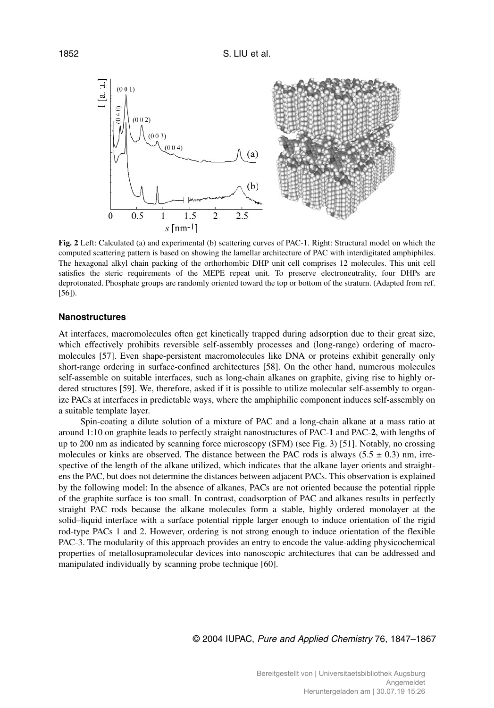

**Fig. 2** Left: Calculated (a) and experimental (b) scattering curves of PAC-1. Right: Structural model on which the computed scattering pattern is based on showing the lamellar architecture of PAC with interdigitated amphiphiles. The hexagonal alkyl chain packing of the orthorhombic DHP unit cell comprises 12 molecules. This unit cell satisfies the steric requirements of the MEPE repeat unit. To preserve electroneutrality, four DHPs are deprotonated. Phosphate groups are randomly oriented toward the top or bottom of the stratum. (Adapted from ref. [56]).

# **Nanostructures**

At interfaces, macromolecules often get kinetically trapped during adsorption due to their great size, which effectively prohibits reversible self-assembly processes and (long-range) ordering of macromolecules [57]. Even shape-persistent macromolecules like DNA or proteins exhibit generally only short-range ordering in surface-confined architectures [58]. On the other hand, numerous molecules self-assemble on suitable interfaces, such as long-chain alkanes on graphite, giving rise to highly ordered structures [59]. We, therefore, asked if it is possible to utilize molecular self-assembly to organize PACs at interfaces in predictable ways, where the amphiphilic component induces self-assembly on a suitable template layer.

Spin-coating a dilute solution of a mixture of PAC and a long-chain alkane at a mass ratio at around 1:10 on graphite leads to perfectly straight nanostructures of PAC-**1** and PAC-**2**, with lengths of up to 200 nm as indicated by scanning force microscopy (SFM) (see Fig. 3) [51]. Notably, no crossing molecules or kinks are observed. The distance between the PAC rods is always (5.5  $\pm$  0.3) nm, irrespective of the length of the alkane utilized, which indicates that the alkane layer orients and straightens the PAC, but does not determine the distances between adjacent PACs. This observation is explained by the following model: In the absence of alkanes, PACs are not oriented because the potential ripple of the graphite surface is too small. In contrast, coadsorption of PAC and alkanes results in perfectly straight PAC rods because the alkane molecules form a stable, highly ordered monolayer at the solid–liquid interface with a surface potential ripple larger enough to induce orientation of the rigid rod-type PACs 1 and 2. However, ordering is not strong enough to induce orientation of the flexible PAC-3. The modularity of this approach provides an entry to encode the value-adding physicochemical properties of metallosupramolecular devices into nanoscopic architectures that can be addressed and manipulated individually by scanning probe technique [60].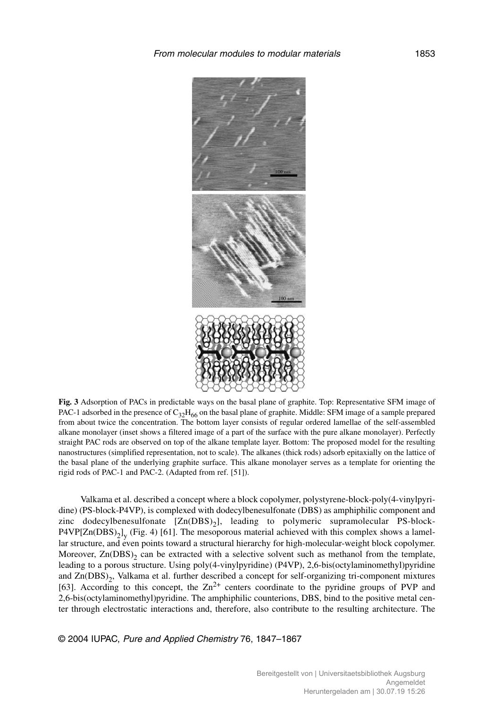

**Fig. 3** Adsorption of PACs in predictable ways on the basal plane of graphite. Top: Representative SFM image of PAC-1 adsorbed in the presence of  $C_{32}H_{66}$  on the basal plane of graphite. Middle: SFM image of a sample prepared from about twice the concentration. The bottom layer consists of regular ordered lamellae of the self-assembled alkane monolayer (inset shows a filtered image of a part of the surface with the pure alkane monolayer). Perfectly straight PAC rods are observed on top of the alkane template layer. Bottom: The proposed model for the resulting nanostructures (simplified representation, not to scale). The alkanes (thick rods) adsorb epitaxially on the lattice of the basal plane of the underlying graphite surface. This alkane monolayer serves as a template for orienting the rigid rods of PAC-1 and PAC-2. (Adapted from ref. [51]).

Valkama et al. described a concept where a block copolymer, polystyrene-block-poly(4-vinylpyridine) (PS-block-P4VP), is complexed with dodecylbenesulfonate (DBS) as amphiphilic component and zinc dodecylbenesulfonate  $[Zn(DBS)_2]$ , leading to polymeric supramolecular PS-block- $P4VP[Zn(DBS)_2]_y$  (Fig. 4) [61]. The mesoporous material achieved with this complex shows a lamellar structure, and even points toward a structural hierarchy for high-molecular-weight block copolymer. Moreover,  $Zn(DBS)$  can be extracted with a selective solvent such as methanol from the template, leading to a porous structure. Using poly(4-vinylpyridine) (P4VP), 2,6-bis(octylaminomethyl)pyridine and Zn(DBS)<sub>2</sub>, Valkama et al. further described a concept for self-organizing tri-component mixtures [63]. According to this concept, the  $\text{Zn}^{2+}$  centers coordinate to the pyridine groups of PVP and 2,6-bis(octylaminomethyl)pyridine. The amphiphilic counterions, DBS, bind to the positive metal center through electrostatic interactions and, therefore, also contribute to the resulting architecture. The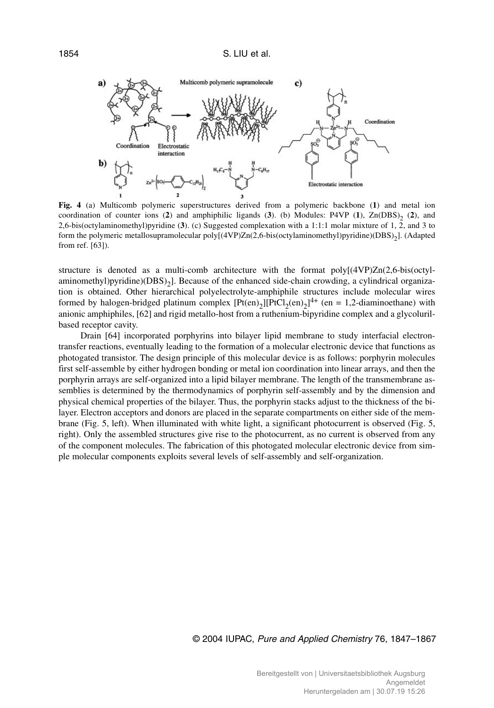

**Fig. 4** (a) Multicomb polymeric superstructures derived from a polymeric backbone (**1**) and metal ion coordination of counter ions (2) and amphiphilic ligands (3). (b) Modules: P4VP (1), Zn(DBS)<sub>2</sub> (2), and 2,6-bis(octylaminomethyl)pyridine (**3**). (c) Suggested complexation with a 1:1:1 molar mixture of 1, 2, and 3 to form the polymeric metallosupramolecular poly[(4VP)Zn(2,6-bis(octylaminomethyl)pyridine)(DBS)<sub>2</sub>]. (Adapted from ref. [63]).

structure is denoted as a multi-comb architecture with the format poly[(4VP)Zn(2,6-bis(octylaminomethyl)pyridine)( $DBS$ )<sub>2</sub>]. Because of the enhanced side-chain crowding, a cylindrical organization is obtained. Other hierarchical polyelectrolyte-amphiphile structures include molecular wires formed by halogen-bridged platinum complex  $[Pt(en)_2][PtCl_2(en)_2]^{4+}$  (en = 1,2-diaminoethane) with anionic amphiphiles, [62] and rigid metallo-host from a ruthenium-bipyridine complex and a glycolurilbased receptor cavity.

Drain [64] incorporated porphyrins into bilayer lipid membrane to study interfacial electrontransfer reactions, eventually leading to the formation of a molecular electronic device that functions as photogated transistor. The design principle of this molecular device is as follows: porphyrin molecules first self-assemble by either hydrogen bonding or metal ion coordination into linear arrays, and then the porphyrin arrays are self-organized into a lipid bilayer membrane. The length of the transmembrane assemblies is determined by the thermodynamics of porphyrin self-assembly and by the dimension and physical chemical properties of the bilayer. Thus, the porphyrin stacks adjust to the thickness of the bilayer. Electron acceptors and donors are placed in the separate compartments on either side of the membrane (Fig. 5, left). When illuminated with white light, a significant photocurrent is observed (Fig. 5, right). Only the assembled structures give rise to the photocurrent, as no current is observed from any of the component molecules. The fabrication of this photogated molecular electronic device from simple molecular components exploits several levels of self-assembly and self-organization.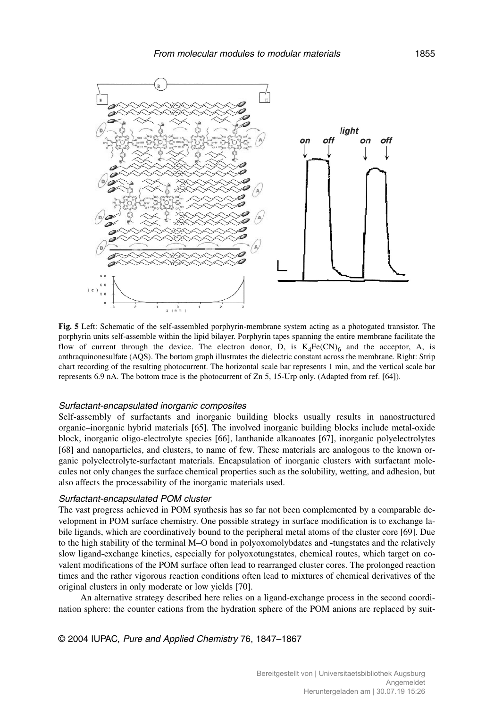

**Fig. 5** Left: Schematic of the self-assembled porphyrin-membrane system acting as a photogated transistor. The porphyrin units self-assemble within the lipid bilayer. Porphyrin tapes spanning the entire membrane facilitate the flow of current through the device. The electron donor, D, is  $K_4Fe(CN)_6$  and the acceptor, A, is anthraquinonesulfate (AQS). The bottom graph illustrates the dielectric constant across the membrane. Right: Strip chart recording of the resulting photocurrent. The horizontal scale bar represents 1 min, and the vertical scale bar represents 6.9 nA. The bottom trace is the photocurrent of Zn 5, 15-Urp only. (Adapted from ref. [64]).

#### Surfactant-encapsulated inorganic composites

Self-assembly of surfactants and inorganic building blocks usually results in nanostructured organic–inorganic hybrid materials [65]. The involved inorganic building blocks include metal-oxide block, inorganic oligo-electrolyte species [66], lanthanide alkanoates [67], inorganic polyelectrolytes [68] and nanoparticles, and clusters, to name of few. These materials are analogous to the known organic polyelectrolyte-surfactant materials. Encapsulation of inorganic clusters with surfactant molecules not only changes the surface chemical properties such as the solubility, wetting, and adhesion, but also affects the processability of the inorganic materials used.

# Surfactant-encapsulated POM cluster

The vast progress achieved in POM synthesis has so far not been complemented by a comparable development in POM surface chemistry. One possible strategy in surface modification is to exchange labile ligands, which are coordinatively bound to the peripheral metal atoms of the cluster core [69]. Due to the high stability of the terminal M–O bond in polyoxomolybdates and -tungstates and the relatively slow ligand-exchange kinetics, especially for polyoxotungstates, chemical routes, which target on covalent modifications of the POM surface often lead to rearranged cluster cores. The prolonged reaction times and the rather vigorous reaction conditions often lead to mixtures of chemical derivatives of the original clusters in only moderate or low yields [70].

An alternative strategy described here relies on a ligand-exchange process in the second coordination sphere: the counter cations from the hydration sphere of the POM anions are replaced by suit-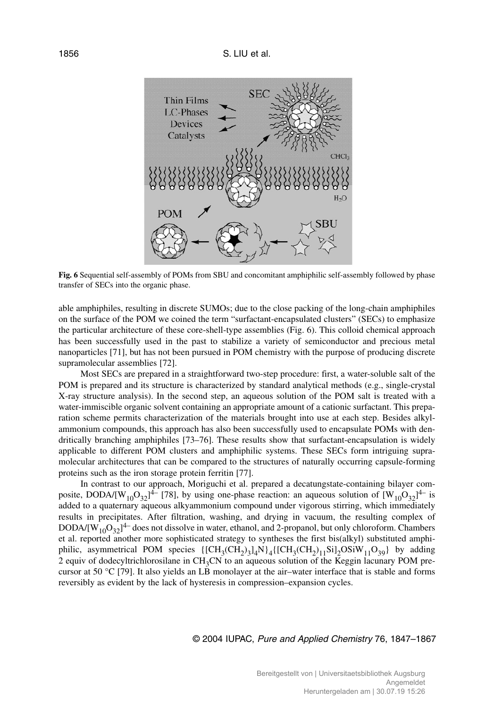

**Fig. 6** Sequential self-assembly of POMs from SBU and concomitant amphiphilic self-assembly followed by phase transfer of SECs into the organic phase.

able amphiphiles, resulting in discrete SUMOs; due to the close packing of the long-chain amphiphiles on the surface of the POM we coined the term "surfactant-encapsulated clusters" (SECs) to emphasize the particular architecture of these core-shell-type assemblies (Fig. 6). This colloid chemical approach has been successfully used in the past to stabilize a variety of semiconductor and precious metal nanoparticles [71], but has not been pursued in POM chemistry with the purpose of producing discrete supramolecular assemblies [72].

Most SECs are prepared in a straightforward two-step procedure: first, a water-soluble salt of the POM is prepared and its structure is characterized by standard analytical methods (e.g., single-crystal X-ray structure analysis). In the second step, an aqueous solution of the POM salt is treated with a water-immiscible organic solvent containing an appropriate amount of a cationic surfactant. This preparation scheme permits characterization of the materials brought into use at each step. Besides alkylammonium compounds, this approach has also been successfully used to encapsulate POMs with dendritically branching amphiphiles [73–76]. These results show that surfactant-encapsulation is widely applicable to different POM clusters and amphiphilic systems. These SECs form intriguing supramolecular architectures that can be compared to the structures of naturally occurring capsule-forming proteins such as the iron storage protein ferritin [77].

In contrast to our approach, Moriguchi et al. prepared a decatungstate-containing bilayer composite, DODA/[W<sub>10</sub>O<sub>32</sub>]<sup>4–</sup> [78], by using one-phase reaction: an aqueous solution of  $[W_{10}O_{32}]^{4-}$  is added to a quaternary aqueous alkyammonium compound under vigorous stirring, which immediately results in precipitates. After filtration, washing, and drying in vacuum, the resulting complex of DODA/ $[W_{10}O_{32}]^{4-}$  does not dissolve in water, ethanol, and 2-propanol, but only chloroform. Chambers et al. reported another more sophisticated strategy to syntheses the first bis(alkyl) substituted amphiphilic, asymmetrical POM species  $\{[CH_3(CH_2)_3]_4N\}_4\{[CH_3(CH_2)_1]_1Si_2OSiW_{11}O_{39}\}$  by adding 2 equiv of dodecyltrichlorosilane in CH<sub>3</sub>CN to an aqueous solution of the Keggin lacunary POM precursor at 50 °C [79]. It also yields an LB monolayer at the air–water interface that is stable and forms reversibly as evident by the lack of hysteresis in compression–expansion cycles.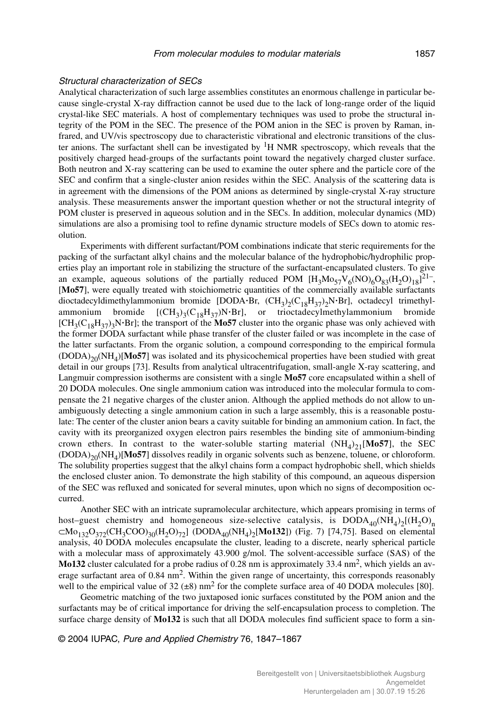## Structural characterization of SECs

Analytical characterization of such large assemblies constitutes an enormous challenge in particular because single-crystal X-ray diffraction cannot be used due to the lack of long-range order of the liquid crystal-like SEC materials. A host of complementary techniques was used to probe the structural integrity of the POM in the SEC. The presence of the POM anion in the SEC is proven by Raman, infrared, and UV/vis spectroscopy due to characteristic vibrational and electronic transitions of the cluster anions. The surfactant shell can be investigated by  ${}^{1}H$  NMR spectroscopy, which reveals that the positively charged head-groups of the surfactants point toward the negatively charged cluster surface. Both neutron and X-ray scattering can be used to examine the outer sphere and the particle core of the SEC and confirm that a single-cluster anion resides within the SEC. Analysis of the scattering data is in agreement with the dimensions of the POM anions as determined by single-crystal X-ray structure analysis. These measurements answer the important question whether or not the structural integrity of POM cluster is preserved in aqueous solution and in the SECs. In addition, molecular dynamics (MD) simulations are also a promising tool to refine dynamic structure models of SECs down to atomic resolution.

Experiments with different surfactant/POM combinations indicate that steric requirements for the packing of the surfactant alkyl chains and the molecular balance of the hydrophobic/hydrophilic properties play an important role in stabilizing the structure of the surfactant-encapsulated clusters. To give an example, aqueous solutions of the partially reduced POM  $[H_3Mo_{57}V_6NO)_6O_{83}(H_2O)_{18}]^{21}$ , [**Mo57**], were equally treated with stoichiometric quantities of the commercially available surfactants dioctadecyldimethylammonium bromide [DODA·Br,  $(CH_3)_2(C_{18}H_{37})_2N·Br]$ , octadecyl trimethylammonium bromide  $[(CH_3)_3(C_{18}H_{37})N·Br]$ , or trioctadecylmethylammonium bromide  $[CH_3(C_{18}H_{37})_3N \cdot Br]$ ; the transport of the **Mo57** cluster into the organic phase was only achieved with the former DODA surfactant while phase transfer of the cluster failed or was incomplete in the case of the latter surfactants. From the organic solution, a compound corresponding to the empirical formula  $(DODA)_{20}(NH<sub>4</sub>)[**Mo57**]$  was isolated and its physicochemical properties have been studied with great detail in our groups [73]. Results from analytical ultracentrifugation, small-angle X-ray scattering, and Langmuir compression isotherms are consistent with a single **Mo57** core encapsulated within a shell of 20 DODA molecules. One single ammonium cation was introduced into the molecular formula to compensate the 21 negative charges of the cluster anion. Although the applied methods do not allow to unambiguously detecting a single ammonium cation in such a large assembly, this is a reasonable postulate: The center of the cluster anion bears a cavity suitable for binding an ammonium cation. In fact, the cavity with its preorganized oxygen electron pairs resembles the binding site of ammonium-binding crown ethers. In contrast to the water-soluble starting material  $(NH<sub>4</sub>)<sub>21</sub>[Mo57]$ , the SEC  $(DODA)_{20}(NH<sub>A</sub>)[Mo57]$  dissolves readily in organic solvents such as benzene, toluene, or chloroform. The solubility properties suggest that the alkyl chains form a compact hydrophobic shell, which shields the enclosed cluster anion. To demonstrate the high stability of this compound, an aqueous dispersion of the SEC was refluxed and sonicated for several minutes, upon which no signs of decomposition occurred.

Another SEC with an intricate supramolecular architecture, which appears promising in terms of host–guest chemistry and homogeneous size-selective catalysis, is  $DODA<sub>40</sub>(NH<sub>4</sub>)<sub>2</sub>[(H<sub>2</sub>O)<sub>n</sub>$  $\subset$ Mo<sub>132</sub>O<sub>372</sub>(CH<sub>3</sub>COO)<sub>30</sub>(H<sub>2</sub>O)<sub>72</sub>] (DODA<sub>40</sub>(NH<sub>4</sub>)<sub>2</sub>[Mo132]) (Fig. 7) [74,75]. Based on elemental analysis, 40 DODA molecules encapsulate the cluster, leading to a discrete, nearly spherical particle with a molecular mass of approximately 43.900 g/mol. The solvent-accessible surface (SAS) of the **Mo132** cluster calculated for a probe radius of 0.28 nm is approximately 33.4 nm<sup>2</sup>, which yields an average surfactant area of 0.84 nm<sup>2</sup>. Within the given range of uncertainty, this corresponds reasonably well to the empirical value of 32 ( $\pm 8$ ) nm<sup>2</sup> for the complete surface area of 40 DODA molecules [80].

Geometric matching of the two juxtaposed ionic surfaces constituted by the POM anion and the surfactants may be of critical importance for driving the self-encapsulation process to completion. The surface charge density of **Mo132** is such that all DODA molecules find sufficient space to form a sin-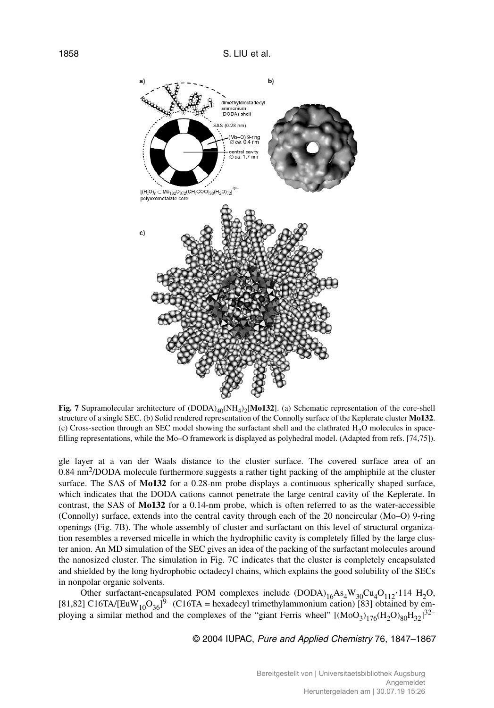

**Fig. 7** Supramolecular architecture of  $(DODA)_{40} (NH_4)_2 [M0132]$ . (a) Schematic representation of the core-shell structure of a single SEC. (b) Solid rendered representation of the Connolly surface of the Keplerate cluster **Mo132**. (c) Cross-section through an SEC model showing the surfactant shell and the clathrated  $H_2O$  molecules in spacefilling representations, while the Mo–O framework is displayed as polyhedral model. (Adapted from refs. [74,75]).

gle layer at a van der Waals distance to the cluster surface. The covered surface area of an 0.84 nm2/DODA molecule furthermore suggests a rather tight packing of the amphiphile at the cluster surface. The SAS of **Mo132** for a 0.28-nm probe displays a continuous spherically shaped surface, which indicates that the DODA cations cannot penetrate the large central cavity of the Keplerate. In contrast, the SAS of **Mo132** for a 0.14-nm probe, which is often referred to as the water-accessible (Connolly) surface, extends into the central cavity through each of the 20 noncircular (Mo–O) 9-ring openings (Fig. 7B). The whole assembly of cluster and surfactant on this level of structural organization resembles a reversed micelle in which the hydrophilic cavity is completely filled by the large cluster anion. An MD simulation of the SEC gives an idea of the packing of the surfactant molecules around the nanosized cluster. The simulation in Fig. 7C indicates that the cluster is completely encapsulated and shielded by the long hydrophobic octadecyl chains, which explains the good solubility of the SECs in nonpolar organic solvents.

Other surfactant-encapsulated POM complexes include  $(DODA)_{16}As_4W_{30}Cu_4O_{112}$ <sup>-114</sup> H<sub>2</sub>O, [81,82] C16TA/[EuW<sub>10</sub>O<sub>36</sub>]<sup>9–</sup> (C16TA = hexadecyl trimethylammonium cation) [83] obtained by employing a similar method and the complexes of the "giant Ferris wheel"  $[(MoO<sub>3</sub>)<sub>176</sub>(H<sub>2</sub>O)<sub>80</sub>H<sub>32</sub>]<sup>32–</sup>$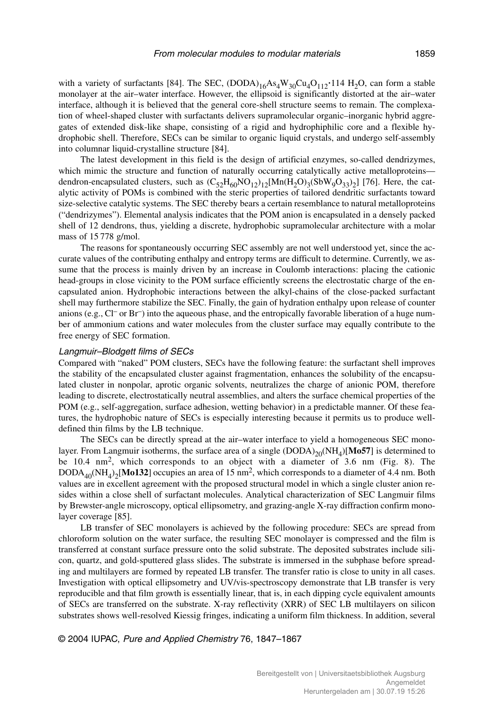with a variety of surfactants [84]. The SEC,  $(DODA)_{16}As_4W_{30}Cu_4O_{112}$ <sup>114</sup> H<sub>2</sub>O, can form a stable monolayer at the air–water interface. However, the ellipsoid is significantly distorted at the air–water interface, although it is believed that the general core-shell structure seems to remain. The complexation of wheel-shaped cluster with surfactants delivers supramolecular organic–inorganic hybrid aggregates of extended disk-like shape, consisting of a rigid and hydrophiphilic core and a flexible hydrophobic shell. Therefore, SECs can be similar to organic liquid crystals, and undergo self-assembly into columnar liquid-crystalline structure [84].

The latest development in this field is the design of artificial enzymes, so-called dendrizymes, which mimic the structure and function of naturally occurring catalytically active metalloproteins dendron-encapsulated clusters, such as  $(C_{52}H_{60}NO_{12})_{12}[Mn(H_2O)_3(SbW_9O_{33})_2]$  [76]. Here, the catalytic activity of POMs is combined with the steric properties of tailored dendritic surfactants toward size-selective catalytic systems. The SEC thereby bears a certain resemblance to natural metalloproteins ("dendrizymes"). Elemental analysis indicates that the POM anion is encapsulated in a densely packed shell of 12 dendrons, thus, yielding a discrete, hydrophobic supramolecular architecture with a molar mass of 15 778 g/mol.

The reasons for spontaneously occurring SEC assembly are not well understood yet, since the accurate values of the contributing enthalpy and entropy terms are difficult to determine. Currently, we assume that the process is mainly driven by an increase in Coulomb interactions: placing the cationic head-groups in close vicinity to the POM surface efficiently screens the electrostatic charge of the encapsulated anion. Hydrophobic interactions between the alkyl-chains of the close-packed surfactant shell may furthermore stabilize the SEC. Finally, the gain of hydration enthalpy upon release of counter anions (e.g.,  $Cl^-$  or  $Br^-$ ) into the aqueous phase, and the entropically favorable liberation of a huge number of ammonium cations and water molecules from the cluster surface may equally contribute to the free energy of SEC formation.

#### Langmuir–Blodgett films of SECs

Compared with "naked" POM clusters, SECs have the following feature: the surfactant shell improves the stability of the encapsulated cluster against fragmentation, enhances the solubility of the encapsulated cluster in nonpolar, aprotic organic solvents, neutralizes the charge of anionic POM, therefore leading to discrete, electrostatically neutral assemblies, and alters the surface chemical properties of the POM (e.g., self-aggregation, surface adhesion, wetting behavior) in a predictable manner. Of these features, the hydrophobic nature of SECs is especially interesting because it permits us to produce welldefined thin films by the LB technique.

The SECs can be directly spread at the air–water interface to yield a homogeneous SEC monolayer. From Langmuir isotherms, the surface area of a single  $(DODA)_{20}(NH<sub>4</sub>)[**Mo57**]$  is determined to be 10.4 nm2, which corresponds to an object with a diameter of 3.6 nm (Fig. 8). The  $DODA<sub>40</sub>(NH<sub>4</sub>)<sub>2</sub>[**Mo132**]$  occupies an area of 15 nm<sup>2</sup>, which corresponds to a diameter of 4.4 nm. Both values are in excellent agreement with the proposed structural model in which a single cluster anion resides within a close shell of surfactant molecules. Analytical characterization of SEC Langmuir films by Brewster-angle microscopy, optical ellipsometry, and grazing-angle X-ray diffraction confirm monolayer coverage [85].

LB transfer of SEC monolayers is achieved by the following procedure: SECs are spread from chloroform solution on the water surface, the resulting SEC monolayer is compressed and the film is transferred at constant surface pressure onto the solid substrate. The deposited substrates include silicon, quartz, and gold-sputtered glass slides. The substrate is immersed in the subphase before spreading and multilayers are formed by repeated LB transfer. The transfer ratio is close to unity in all cases. Investigation with optical ellipsometry and UV/vis-spectroscopy demonstrate that LB transfer is very reproducible and that film growth is essentially linear, that is, in each dipping cycle equivalent amounts of SECs are transferred on the substrate. X-ray reflectivity (XRR) of SEC LB multilayers on silicon substrates shows well-resolved Kiessig fringes, indicating a uniform film thickness. In addition, several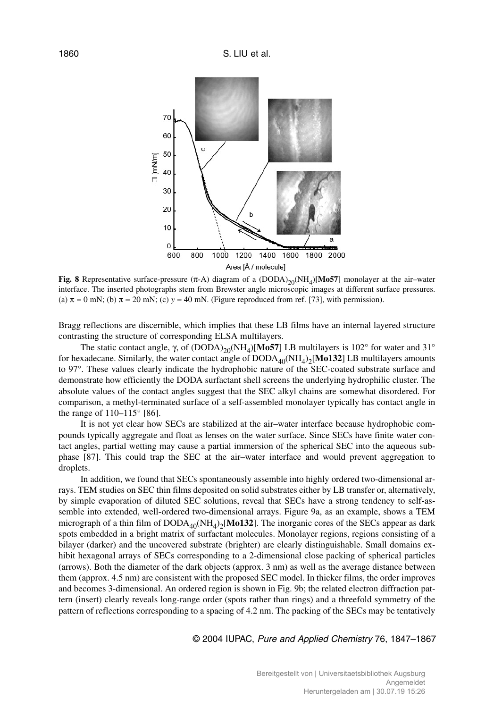

**Fig. 8** Representative surface-pressure  $(π-A)$  diagram of a  $(DODA)_{20}(NH<sub>4</sub>)[Mo57]$  monolayer at the air–water interface. The inserted photographs stem from Brewster angle microscopic images at different surface pressures. (a)  $\pi = 0$  mN; (b)  $\pi = 20$  mN; (c)  $y = 40$  mN. (Figure reproduced from ref. [73], with permission).

Bragg reflections are discernible, which implies that these LB films have an internal layered structure contrasting the structure of corresponding ELSA multilayers.

The static contact angle, γ, of  $(DODA)_{20}(NH<sub>4</sub>)[Mo57]$  LB multilayers is 102° for water and 31° for hexadecane. Similarly, the water contact angle of  $\text{DODA}_{40}(\text{NH}_4)_2[\text{Mo132}]$  LB multilayers amounts to 97°. These values clearly indicate the hydrophobic nature of the SEC-coated substrate surface and demonstrate how efficiently the DODA surfactant shell screens the underlying hydrophilic cluster. The absolute values of the contact angles suggest that the SEC alkyl chains are somewhat disordered. For comparison, a methyl-terminated surface of a self-assembled monolayer typically has contact angle in the range of 110–115° [86].

It is not yet clear how SECs are stabilized at the air–water interface because hydrophobic compounds typically aggregate and float as lenses on the water surface. Since SECs have finite water contact angles, partial wetting may cause a partial immersion of the spherical SEC into the aqueous subphase [87]. This could trap the SEC at the air–water interface and would prevent aggregation to droplets.

In addition, we found that SECs spontaneously assemble into highly ordered two-dimensional arrays. TEM studies on SEC thin films deposited on solid substrates either by LB transfer or, alternatively, by simple evaporation of diluted SEC solutions, reveal that SECs have a strong tendency to self-assemble into extended, well-ordered two-dimensional arrays. Figure 9a, as an example, shows a TEM micrograph of a thin film of  $DODA<sub>40</sub>(NH<sub>4</sub>)<sub>2</sub>[Mo132]$ . The inorganic cores of the SECs appear as dark spots embedded in a bright matrix of surfactant molecules. Monolayer regions, regions consisting of a bilayer (darker) and the uncovered substrate (brighter) are clearly distinguishable. Small domains exhibit hexagonal arrays of SECs corresponding to a 2-dimensional close packing of spherical particles (arrows). Both the diameter of the dark objects (approx. 3 nm) as well as the average distance between them (approx. 4.5 nm) are consistent with the proposed SEC model. In thicker films, the order improves and becomes 3-dimensional. An ordered region is shown in Fig. 9b; the related electron diffraction pattern (insert) clearly reveals long-range order (spots rather than rings) and a threefold symmetry of the pattern of reflections corresponding to a spacing of 4.2 nm. The packing of the SECs may be tentatively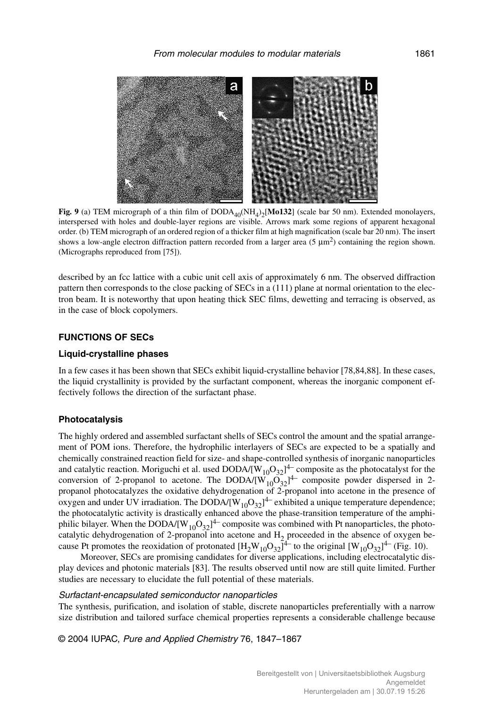

**Fig. 9** (a) TEM micrograph of a thin film of  $DODA_{40}(NH_4)_2[Mo132]$  (scale bar 50 nm). Extended monolayers, interspersed with holes and double-layer regions are visible. Arrows mark some regions of apparent hexagonal order. (b) TEM micrograph of an ordered region of a thicker film at high magnification (scale bar 20 nm). The insert shows a low-angle electron diffraction pattern recorded from a larger area (5  $\mu$ m<sup>2</sup>) containing the region shown. (Micrographs reproduced from [75]).

described by an fcc lattice with a cubic unit cell axis of approximately 6 nm. The observed diffraction pattern then corresponds to the close packing of SECs in a (111) plane at normal orientation to the electron beam. It is noteworthy that upon heating thick SEC films, dewetting and terracing is observed, as in the case of block copolymers.

# **FUNCTIONS OF SECs**

# **Liquid-crystalline phases**

In a few cases it has been shown that SECs exhibit liquid-crystalline behavior [78,84,88]. In these cases, the liquid crystallinity is provided by the surfactant component, whereas the inorganic component effectively follows the direction of the surfactant phase.

## **Photocatalysis**

The highly ordered and assembled surfactant shells of SECs control the amount and the spatial arrangement of POM ions. Therefore, the hydrophilic interlayers of SECs are expected to be a spatially and chemically constrained reaction field for size- and shape-controlled synthesis of inorganic nanoparticles and catalytic reaction. Moriguchi et al. used DODA/[ $W_{10}O_{32}$ ]<sup>4</sup> composite as the photocatalyst for the conversion of 2-propanol to acetone. The DODA/ $[\widetilde{W_{10}O_{32}}]^{4-}$  composite powder dispersed in 2propanol photocatalyzes the oxidative dehydrogenation of 2-propanol into acetone in the presence of oxygen and under UV irradiation. The DODA/ $[W_{10}O_{32}]^{4-}$  exhibited a unique temperature dependence; the photocatalytic activity is drastically enhanced above the phase-transition temperature of the amphiphilic bilayer. When the DODA/ $[W_{10}O_{32}]^{4-}$  composite was combined with Pt nanoparticles, the photocatalytic dehydrogenation of 2-propanol into acetone and  $H_2$  proceeded in the absence of oxygen because Pt promotes the reoxidation of protonated  $[H_2W_{10}O_{32}]^{\text{4-}}$  to the original  $[W_{10}O_{32}]^{\text{4-}}$  (Fig. 10).

Moreover, SECs are promising candidates for diverse applications, including electrocatalytic display devices and photonic materials [83]. The results observed until now are still quite limited. Further studies are necessary to elucidate the full potential of these materials.

# Surfactant-encapsulated semiconductor nanoparticles

The synthesis, purification, and isolation of stable, discrete nanoparticles preferentially with a narrow size distribution and tailored surface chemical properties represents a considerable challenge because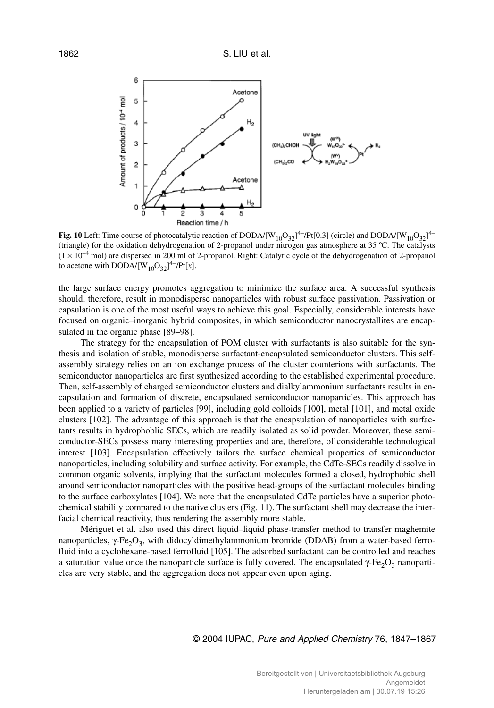

**Fig. 10** Left: Time course of photocatalytic reaction of DODA/[W<sub>10</sub>O<sub>32</sub>]<sup>4–</sup>/Pt[0.3] (circle) and DODA/[W<sub>10</sub>O<sub>32</sub>]<sup>4–</sup> (triangle) for the oxidation dehydrogenation of 2-propanol under nitrogen gas atmosphere at 35 ºC. The catalysts  $(1 \times 10^{-4}$  mol) are dispersed in 200 ml of 2-propanol. Right: Catalytic cycle of the dehydrogenation of 2-propanol to acetone with DODA/[W<sub>10</sub>O<sub>32</sub>]<sup>4–</sup>/Pt[x].

the large surface energy promotes aggregation to minimize the surface area. A successful synthesis should, therefore, result in monodisperse nanoparticles with robust surface passivation. Passivation or capsulation is one of the most useful ways to achieve this goal. Especially, considerable interests have focused on organic–inorganic hybrid composites, in which semiconductor nanocrystallites are encapsulated in the organic phase [89–98].

The strategy for the encapsulation of POM cluster with surfactants is also suitable for the synthesis and isolation of stable, monodisperse surfactant-encapsulated semiconductor clusters. This selfassembly strategy relies on an ion exchange process of the cluster counterions with surfactants. The semiconductor nanoparticles are first synthesized according to the established experimental procedure. Then, self-assembly of charged semiconductor clusters and dialkylammonium surfactants results in encapsulation and formation of discrete, encapsulated semiconductor nanoparticles. This approach has been applied to a variety of particles [99], including gold colloids [100], metal [101], and metal oxide clusters [102]. The advantage of this approach is that the encapsulation of nanoparticles with surfactants results in hydrophoblic SECs, which are readily isolated as solid powder. Moreover, these semiconductor-SECs possess many interesting properties and are, therefore, of considerable technological interest [103]. Encapsulation effectively tailors the surface chemical properties of semiconductor nanoparticles, including solubility and surface activity. For example, the CdTe-SECs readily dissolve in common organic solvents, implying that the surfactant molecules formed a closed, hydrophobic shell around semiconductor nanoparticles with the positive head-groups of the surfactant molecules binding to the surface carboxylates [104]. We note that the encapsulated CdTe particles have a superior photochemical stability compared to the native clusters (Fig. 11). The surfactant shell may decrease the interfacial chemical reactivity, thus rendering the assembly more stable.

Mériguet et al. also used this direct liquid–liquid phase-transfer method to transfer maghemite nanoparticles,  $\gamma$ -Fe<sub>2</sub>O<sub>3</sub>, with didocyldimethylammonium bromide (DDAB) from a water-based ferrofluid into a cyclohexane-based ferrofluid [105]. The adsorbed surfactant can be controlled and reaches a saturation value once the nanoparticle surface is fully covered. The encapsulated  $\gamma$ -Fe<sub>2</sub>O<sub>3</sub> nanoparticles are very stable, and the aggregation does not appear even upon aging.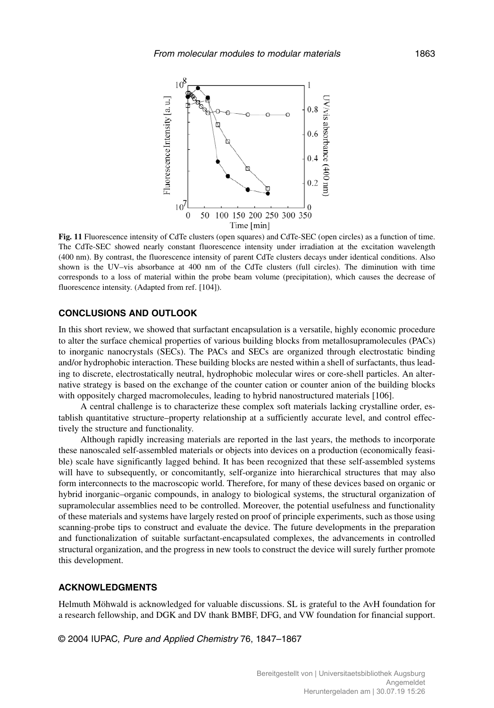

**Fig. 11** Fluorescence intensity of CdTe clusters (open squares) and CdTe-SEC (open circles) as a function of time. The CdTe-SEC showed nearly constant fluorescence intensity under irradiation at the excitation wavelength (400 nm). By contrast, the fluorescence intensity of parent CdTe clusters decays under identical conditions. Also shown is the UV–vis absorbance at 400 nm of the CdTe clusters (full circles). The diminution with time corresponds to a loss of material within the probe beam volume (precipitation), which causes the decrease of fluorescence intensity. (Adapted from ref. [104]).

# **CONCLUSIONS AND OUTLOOK**

In this short review, we showed that surfactant encapsulation is a versatile, highly economic procedure to alter the surface chemical properties of various building blocks from metallosupramolecules (PACs) to inorganic nanocrystals (SECs). The PACs and SECs are organized through electrostatic binding and/or hydrophobic interaction. These building blocks are nested within a shell of surfactants, thus leading to discrete, electrostatically neutral, hydrophobic molecular wires or core-shell particles. An alternative strategy is based on the exchange of the counter cation or counter anion of the building blocks with oppositely charged macromolecules, leading to hybrid nanostructured materials [106].

A central challenge is to characterize these complex soft materials lacking crystalline order, establish quantitative structure–property relationship at a sufficiently accurate level, and control effectively the structure and functionality.

Although rapidly increasing materials are reported in the last years, the methods to incorporate these nanoscaled self-assembled materials or objects into devices on a production (economically feasible) scale have significantly lagged behind. It has been recognized that these self-assembled systems will have to subsequently, or concomitantly, self-organize into hierarchical structures that may also form interconnects to the macroscopic world. Therefore, for many of these devices based on organic or hybrid inorganic–organic compounds, in analogy to biological systems, the structural organization of supramolecular assemblies need to be controlled. Moreover, the potential usefulness and functionality of these materials and systems have largely rested on proof of principle experiments, such as those using scanning-probe tips to construct and evaluate the device. The future developments in the preparation and functionalization of suitable surfactant-encapsulated complexes, the advancements in controlled structural organization, and the progress in new tools to construct the device will surely further promote this development.

#### **ACKNOWLEDGMENTS**

Helmuth Möhwald is acknowledged for valuable discussions. SL is grateful to the AvH foundation for a research fellowship, and DGK and DV thank BMBF, DFG, and VW foundation for financial support.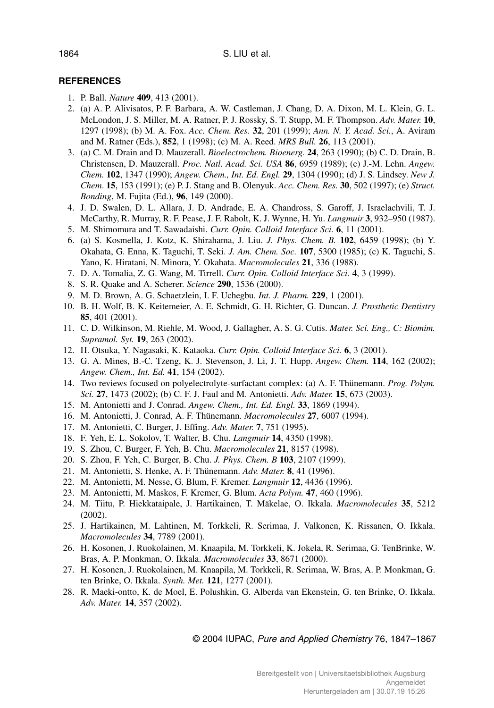# **REFERENCES**

- 1. P. Ball. *Nature* **409**, 413 (2001).
- 2. (a) A. P. Alivisatos, P. F. Barbara, A. W. Castleman, J. Chang, D. A. Dixon, M. L. Klein, G. L. McLondon, J. S. Miller, M. A. Ratner, P. J. Rossky, S. T. Stupp, M. F. Thompson. *Adv. Mater.* **10**, 1297 (1998); (b) M. A. Fox. *Acc. Chem. Res.* **32**, 201 (1999); *Ann. N. Y. Acad. Sci.*, A. Aviram and M. Ratner (Eds.), **852**, 1 (1998); (c) M. A. Reed. *MRS Bull.* **26**, 113 (2001).
- 3. (a) C. M. Drain and D. Mauzerall. *Bioelectrochem. Bioenerg.* **24**, 263 (1990); (b) C. D. Drain, B. Christensen, D. Mauzerall. *Proc. Natl. Acad. Sci. USA* **86**, 6959 (1989); (c) J.-M. Lehn. *Angew. Chem.* **102**, 1347 (1990); *Angew. Chem., Int. Ed. Engl.* **29**, 1304 (1990); (d) J. S. Lindsey. *New J. Chem*. **15**, 153 (1991); (e) P. J. Stang and B. Olenyuk. *Acc. Chem. Res.* **30**, 502 (1997); (e) *Struct. Bonding*, M. Fujita (Ed.), **96**, 149 (2000).
- 4. J. D. Swalen, D. L. Allara, J. D. Andrade, E. A. Chandross, S. Garoff, J. Israelachvili, T. J. McCarthy, R. Murray, R. F. Pease, J. F. Rabolt, K. J. Wynne, H. Yu. *Langmuir* **3**, 932–950 (1987).
- 5. M. Shimomura and T. Sawadaishi. *Curr. Opin. Colloid Interface Sci.* **6**, 11 (2001).
- 6. (a) S. Kosmella, J. Kotz, K. Shirahama, J. Liu. *J. Phys. Chem. B.* **102**, 6459 (1998); (b) Y. Okahata, G. Enna, K. Taguchi, T. Seki. *J. Am. Chem. Soc.* **107**, 5300 (1985); (c) K. Taguchi, S. Yano, K. Hiratani, N. Minora, Y. Okahata. *Macromolecules* **21**, 336 (1988).
- 7. D. A. Tomalia, Z. G. Wang, M. Tirrell. *Curr. Opin. Colloid Interface Sci.* **4**, 3 (1999).
- 8. S. R. Quake and A. Scherer. *Science* **290**, 1536 (2000).
- 9. M. D. Brown, A. G. Schaetzlein, I. F. Uchegbu. *Int. J. Pharm.* **229**, 1 (2001).
- 10. B. H. Wolf, B. K. Keitemeier, A. E. Schmidt, G. H. Richter, G. Duncan. *J. Prosthetic Dentistry* **85**, 401 (2001).
- 11. C. D. Wilkinson, M. Riehle, M. Wood, J. Gallagher, A. S. G. Cutis. *Mater. Sci. Eng., C: Biomim. Supramol. Syt.* **19**, 263 (2002).
- 12. H. Otsuka, Y. Nagasaki, K. Kataoka. *Curr. Opin. Colloid Interface Sci.* **6**, 3 (2001).
- 13. G. A. Mines, B.-C. Tzeng, K. J. Stevenson, J. Li, J. T. Hupp. *Angew. Chem.* **114**, 162 (2002); *Angew. Chem., Int. Ed.* **41**, 154 (2002).
- 14. Two reviews focused on polyelectrolyte-surfactant complex: (a) A. F. Thünemann. *Prog. Polym. Sci.* **27**, 1473 (2002); (b) C. F. J. Faul and M. Antonietti. *Adv. Mater.* **15**, 673 (2003).
- 15. M. Antonietti and J. Conrad. *Angew. Chem., Int. Ed. Engl.* **33**, 1869 (1994).
- 16. M. Antonietti, J. Conrad, A. F. Thünemann. *Macromolecules* **27**, 6007 (1994).
- 17. M. Antonietti, C. Burger, J. Effing. *Adv. Mater.* **7**, 751 (1995).
- 18. F. Yeh, E. L. Sokolov, T. Walter, B. Chu. *Langmuir* **14**, 4350 (1998).
- 19. S. Zhou, C. Burger, F. Yeh, B. Chu. *Macromolecules* **21**, 8157 (1998).
- 20. S. Zhou, F. Yeh, C. Burger, B. Chu. *J. Phys. Chem. B* **103**, 2107 (1999).
- 21. M. Antonietti, S. Henke, A. F. Thünemann. *Adv. Mater.* **8**, 41 (1996).
- 22. M. Antonietti, M. Nesse, G. Blum, F. Kremer. *Langmuir* **12**, 4436 (1996).
- 23. M. Antonietti, M. Maskos, F. Kremer, G. Blum. *Acta Polym.* **47**, 460 (1996).
- 24. M. Tiitu, P. Hiekkataipale, J. Hartikainen, T. Mäkelae, O. Ikkala. *Macromolecules* **35**, 5212 (2002).
- 25. J. Hartikainen, M. Lahtinen, M. Torkkeli, R. Serimaa, J. Valkonen, K. Rissanen, O. Ikkala. *Macromolecules* **34**, 7789 (2001).
- 26. H. Kosonen, J. Ruokolainen, M. Knaapila, M. Torkkeli, K. Jokela, R. Serimaa, G. TenBrinke, W. Bras, A. P. Monkman, O. Ikkala. *Macromolecules* **33**, 8671 (2000).
- 27. H. Kosonen, J. Ruokolainen, M. Knaapila, M. Torkkeli, R. Serimaa, W. Bras, A. P. Monkman, G. ten Brinke, O. Ikkala. *Synth. Met.* **121**, 1277 (2001).
- 28. R. Maeki-ontto, K. de Moel, E. Polushkin, G. Alberda van Ekenstein, G. ten Brinke, O. Ikkala. *Adv. Mater.* **14**, 357 (2002).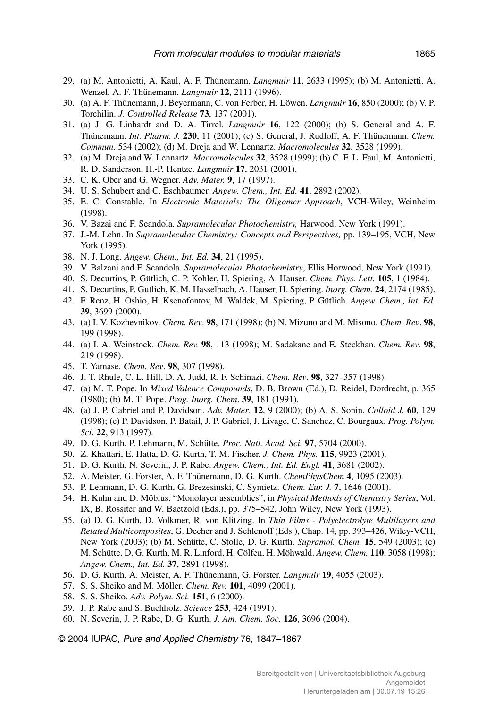- 29. (a) M. Antonietti, A. Kaul, A. F. Thünemann. *Langmuir* **11**, 2633 (1995); (b) M. Antonietti, A. Wenzel, A. F. Thünemann. *Langmuir* **12**, 2111 (1996).
- 30. (a) A. F. Thünemann, J. Beyermann, C. von Ferber, H. Löwen. *Langmuir* **16**, 850 (2000); (b) V. P. Torchilin. *J. Controlled Release* **73**, 137 (2001).
- 31. (a) J. G. Linhardt and D. A. Tirrel. *Langmuir* **16**, 122 (2000); (b) S. General and A. F. Thünemann. *Int. Pharm. J.* **230**, 11 (2001); (c) S. General, J. Rudloff, A. F. Thünemann. *Chem. Commun.* 534 (2002); (d) M. Dreja and W. Lennartz. *Macromolecules* **32**, 3528 (1999).
- 32. (a) M. Dreja and W. Lennartz. *Macromolecules* **32**, 3528 (1999); (b) C. F. L. Faul, M. Antonietti, R. D. Sanderson, H.-P. Hentze. *Langmuir* **17**, 2031 (2001).
- 33. C. K. Ober and G. Wegner. *Adv. Mater.* **9**, 17 (1997).
- 34. U. S. Schubert and C. Eschbaumer. *Angew. Chem., Int. Ed.* **41**, 2892 (2002).
- 35. E. C. Constable. In *Electronic Materials: The Oligomer Approach*, VCH-Wiley, Weinheim (1998).
- 36. V. Bazai and F. Seandola. *Supramolecular Photochemistry,* Harwood, New York (1991).
- 37. J.-M. Lehn. In *Supramolecular Chemistry: Concepts and Perspectives,* pp. 139–195, VCH, New York (1995).
- 38. N. J. Long. *Angew. Chem., Int. Ed.* **34**, 21 (1995).
- 39. V. Balzani and F. Scandola. *Supramolecular Photochemistry*, Ellis Horwood, New York (1991).
- 40. S. Decurtins, P. Gütlich, C. P. Kohler, H. Spiering, A. Hauser. *Chem. Phys. Lett.* **105**, 1 (1984).
- 41. S. Decurtins, P. Gütlich, K. M. Hasselbach, A. Hauser, H. Spiering. *Inorg. Chem*. **24**, 2174 (1985).
- 42. F. Renz, H. Oshio, H. Ksenofontov, M. Waldek, M. Spiering, P. Gütlich. *Angew. Chem., Int. Ed.* **39**, 3699 (2000).
- 43. (a) I. V. Kozhevnikov. *Chem. Rev*. **98**, 171 (1998); (b) N. Mizuno and M. Misono. *Chem. Rev*. **98**, 199 (1998).
- 44. (a) I. A. Weinstock. *Chem. Rev.* **98**, 113 (1998); M. Sadakane and E. Steckhan. *Chem. Rev*. **98**, 219 (1998).
- 45. T. Yamase. *Chem. Rev*. **98**, 307 (1998).
- 46. J. T. Rhule, C. L. Hill, D. A. Judd, R. F. Schinazi. *Chem. Rev*. **98**, 327–357 (1998).
- 47. (a) M. T. Pope. In *Mixed Valence Compounds*, D. B. Brown (Ed.), D. Reidel, Dordrecht, p. 365 (1980); (b) M. T. Pope. *Prog. Inorg. Chem*. **39**, 181 (1991).
- 48. (a) J. P. Gabriel and P. Davidson. *Adv. Mater*. **12**, 9 (2000); (b) A. S. Sonin. *Colloid J.* **60**, 129 (1998); (c) P. Davidson, P. Batail, J. P. Gabriel, J. Livage, C. Sanchez, C. Bourgaux. *Prog. Polym. Sci*. **22**, 913 (1997).
- 49. D. G. Kurth, P. Lehmann, M. Schütte. *Proc. Natl. Acad. Sci.* **97**, 5704 (2000).
- 50. Z. Khattari, E. Hatta, D. G. Kurth, T. M. Fischer. *J. Chem. Phys.* **115**, 9923 (2001).
- 51. D. G. Kurth, N. Severin, J. P. Rabe. *Angew. Chem., Int. Ed. Engl.* **41**, 3681 (2002).
- 52. A. Meister, G. Forster, A. F. Thünemann, D. G. Kurth. *ChemPhysChem* **4**, 1095 (2003).
- 53. P. Lehmann, D. G. Kurth, G. Brezesinski, C. Symietz. *Chem. Eur. J.* **7**, 1646 (2001).
- 54. H. Kuhn and D. Möbius. "Monolayer assemblies", in *Physical Methods of Chemistry Series*, Vol. IX, B. Rossiter and W. Baetzold (Eds.), pp. 375–542, John Wiley, New York (1993).
- 55. (a) D. G. Kurth, D. Volkmer, R. von Klitzing. In *Thin Films Polyelectrolyte Multilayers and Related Multicomposites*, G. Decher and J. Schlenoff (Eds.), Chap. 14, pp. 393–426, Wiley-VCH, New York (2003); (b) M. Schütte, C. Stolle, D. G. Kurth. *Supramol. Chem.* **15**, 549 (2003); (c) M. Schütte, D. G. Kurth, M. R. Linford, H. Cölfen, H. Möhwald. *Angew. Chem.* **110**, 3058 (1998); *Angew. Chem., Int. Ed.* **37**, 2891 (1998).
- 56. D. G. Kurth, A. Meister, A. F. Thünemann, G. Forster. *Langmuir* **19**, 4055 (2003).
- 57. S. S. Sheiko and M. Möller. *Chem. Rev.* **101**, 4099 (2001).
- 58. S. S. Sheiko. *Adv. Polym. Sci.* **151**, 6 (2000).
- 59. J. P. Rabe and S. Buchholz. *Science* **253**, 424 (1991).
- 60. N. Severin, J. P. Rabe, D. G. Kurth. *J. Am. Chem. Soc.* **126**, 3696 (2004).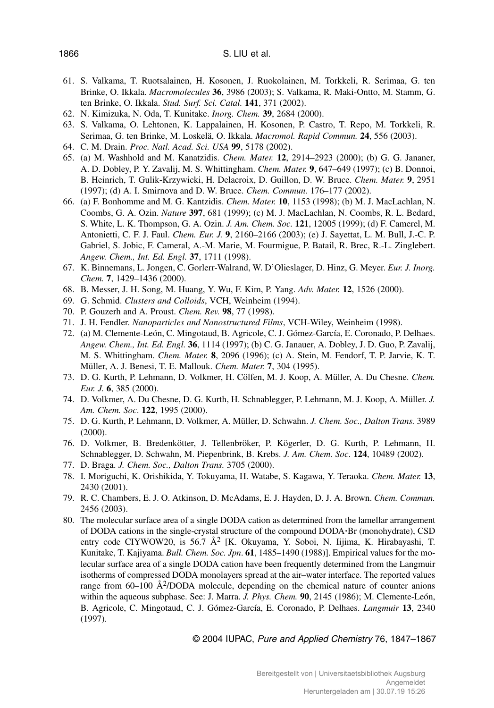- 61. S. Valkama, T. Ruotsalainen, H. Kosonen, J. Ruokolainen, M. Torkkeli, R. Serimaa, G. ten Brinke, O. Ikkala. *Macromolecules* **36**, 3986 (2003); S. Valkama, R. Maki-Ontto, M. Stamm, G. ten Brinke, O. Ikkala. *Stud. Surf. Sci. Catal.* **141**, 371 (2002).
- 62. N. Kimizuka, N. Oda, T. Kunitake. *Inorg. Chem.* **39**, 2684 (2000).
- 63. S. Valkama, O. Lehtonen, K. Lappalainen, H. Kosonen, P. Castro, T. Repo, M. Torkkeli, R. Serimaa, G. ten Brinke, M. Loskelä, O. Ikkala. *Macromol. Rapid Commun.* **24**, 556 (2003).
- 64. C. M. Drain. *Proc. Natl. Acad. Sci. USA* **99**, 5178 (2002).
- 65. (a) M. Washhold and M. Kanatzidis. *Chem. Mater.* **12**, 2914–2923 (2000); (b) G. G. Jananer, A. D. Dobley, P. Y. Zavalij, M. S. Whittingham. *Chem. Mater.* **9**, 647–649 (1997); (c) B. Donnoi, B. Heinrich, T. Gulik-Krzywicki, H. Delacroix, D. Guillon, D. W. Bruce. *Chem. Mater.* **9**, 2951 (1997); (d) A. I. Smirnova and D. W. Bruce. *Chem. Commun.* 176–177 (2002).
- 66. (a) F. Bonhomme and M. G. Kantzidis. *Chem. Mater.* **10**, 1153 (1998); (b) M. J. MacLachlan, N. Coombs, G. A. Ozin. *Nature* **397**, 681 (1999); (c) M. J. MacLachlan, N. Coombs, R. L. Bedard, S. White, L. K. Thompson, G. A. Ozin. *J. Am. Chem. Soc.* **121**, 12005 (1999); (d) F. Camerel, M. Antonietti, C. F. J. Faul. *Chem. Eur. J.* **9**, 2160–2166 (2003); (e) J. Sayettat, L. M. Bull, J.-C. P. Gabriel, S. Jobic, F. Cameral, A.-M. Marie, M. Fourmigue, P. Batail, R. Brec, R.-L. Zinglebert. *Angew. Chem., Int. Ed. Engl.* **37**, 1711 (1998).
- 67. K. Binnemans, L. Jongen, C. Gorlerr-Walrand, W. D'Olieslager, D. Hinz, G. Meyer. *Eur. J. Inorg. Chem.* **7**, 1429–1436 (2000).
- 68. B. Messer, J. H. Song, M. Huang, Y. Wu, F. Kim, P. Yang. *Adv. Mater.* **12**, 1526 (2000).
- 69. G. Schmid. *Clusters and Colloids*, VCH, Weinheim (1994).
- 70. P. Gouzerh and A. Proust. *Chem. Rev.* **98**, 77 (1998).
- 71. J. H. Fendler. *Nanoparticles and Nanostructured Films*, VCH-Wiley, Weinheim (1998).
- 72. (a) M. Clemente-León, C. Mingotaud, B. Agricole, C. J. Gómez-García, E. Coronado, P. Delhaes. *Angew. Chem., Int. Ed. Engl.* **36**, 1114 (1997); (b) C. G. Janauer, A. Dobley, J. D. Guo, P. Zavalij, M. S. Whittingham. *Chem. Mater.* **8**, 2096 (1996); (c) A. Stein, M. Fendorf, T. P. Jarvie, K. T. Müller, A. J. Benesi, T. E. Mallouk. *Chem. Mater.* **7**, 304 (1995).
- 73. D. G. Kurth, P. Lehmann, D. Volkmer, H. Cölfen, M. J. Koop, A. Müller, A. Du Chesne. *Chem. Eur. J.* **6**, 385 (2000).
- 74. D. Volkmer, A. Du Chesne, D. G. Kurth, H. Schnablegger, P. Lehmann, M. J. Koop, A. Müller. *J. Am. Chem. Soc*. **122**, 1995 (2000).
- 75. D. G. Kurth, P. Lehmann, D. Volkmer, A. Müller, D. Schwahn. *J. Chem. Soc., Dalton Trans.* 3989 (2000).
- 76. D. Volkmer, B. Bredenkötter, J. Tellenbröker, P. Kögerler, D. G. Kurth, P. Lehmann, H. Schnablegger, D. Schwahn, M. Piepenbrink, B. Krebs. *J. Am. Chem. Soc*. **124**, 10489 (2002).
- 77. D. Braga. *J. Chem. Soc., Dalton Trans.* 3705 (2000).
- 78. I. Moriguchi, K. Orishikida, Y. Tokuyama, H. Watabe, S. Kagawa, Y. Teraoka. *Chem. Mater.* **13**, 2430 (2001).
- 79. R. C. Chambers, E. J. O. Atkinson, D. McAdams, E. J. Hayden, D. J. A. Brown. *Chem. Commun.* 2456 (2003).
- 80. The molecular surface area of a single DODA cation as determined from the lamellar arrangement of DODA cations in the single-crystal structure of the compound DODA-Br (monohydrate), CSD entry code CIYWOW20, is 56.7 Å<sup>2</sup> [K. Okuyama, Y. Soboi, N. Iijima, K. Hirabayashi, T. Kunitake, T. Kajiyama. *Bull. Chem. Soc. Jpn*. **61**, 1485–1490 (1988)]. Empirical values for the molecular surface area of a single DODA cation have been frequently determined from the Langmuir isotherms of compressed DODA monolayers spread at the air–water interface. The reported values range from  $60-100 \text{ Å}^2/\text{DODA}$  molecule, depending on the chemical nature of counter anions within the aqueous subphase. See: J. Marra. *J. Phys. Chem.* **90**, 2145 (1986); M. Clemente-León, B. Agricole, C. Mingotaud, C. J. Gómez-García, E. Coronado, P. Delhaes. *Langmuir* **13**, 2340 (1997).